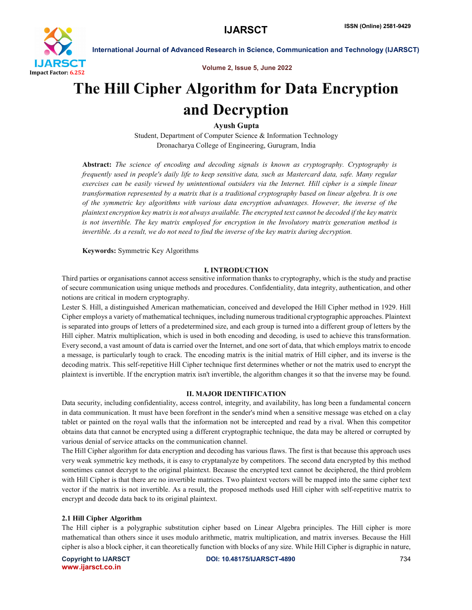

Volume 2, Issue 5, June 2022

# The Hill Cipher Algorithm for Data Encryption and Decryption

Ayush Gupta

Student, Department of Computer Science & Information Technology Dronacharya College of Engineering, Gurugram, India

Abstract: *The science of encoding and decoding signals is known as cryptography. Cryptography is frequently used in people's daily life to keep sensitive data, such as Mastercard data, safe. Many regular exercises can be easily viewed by unintentional outsiders via the Internet. Hill cipher is a simple linear transformation represented by a matrix that is a traditional cryptography based on linear algebra. It is one of the symmetric key algorithms with various data encryption advantages. However, the inverse of the plaintext encryption key matrix is not always available. The encrypted text cannot be decoded if the key matrix is not invertible. The key matrix employed for encryption in the Involutory matrix generation method is invertible. As a result, we do not need to find the inverse of the key matrix during decryption.*

Keywords: Symmetric Key Algorithms

# I. INTRODUCTION

Third parties or organisations cannot access sensitive information thanks to cryptography, which is the study and practise of secure communication using unique methods and procedures. Confidentiality, data integrity, authentication, and other notions are critical in modern cryptography.

Lester S. Hill, a distinguished American mathematician, conceived and developed the Hill Cipher method in 1929. Hill Cipher employs a variety of mathematical techniques, including numerous traditional cryptographic approaches. Plaintext is separated into groups of letters of a predetermined size, and each group is turned into a different group of letters by the Hill cipher. Matrix multiplication, which is used in both encoding and decoding, is used to achieve this transformation. Every second, a vast amount of data is carried over the Internet, and one sort of data, that which employs matrix to encode a message, is particularly tough to crack. The encoding matrix is the initial matrix of Hill cipher, and its inverse is the decoding matrix. This self-repetitive Hill Cipher technique first determines whether or not the matrix used to encrypt the plaintext is invertible. If the encryption matrix isn't invertible, the algorithm changes it so that the inverse may be found.

# II. MAJOR IDENTIFICATION

Data security, including confidentiality, access control, integrity, and availability, has long been a fundamental concern in data communication. It must have been forefront in the sender's mind when a sensitive message was etched on a clay tablet or painted on the royal walls that the information not be intercepted and read by a rival. When this competitor obtains data that cannot be encrypted using a different cryptographic technique, the data may be altered or corrupted by various denial of service attacks on the communication channel.

The Hill Cipher algorithm for data encryption and decoding has various flaws. The first is that because this approach uses very weak symmetric key methods, it is easy to cryptanalyze by competitors. The second data encrypted by this method sometimes cannot decrypt to the original plaintext. Because the encrypted text cannot be deciphered, the third problem with Hill Cipher is that there are no invertible matrices. Two plaintext vectors will be mapped into the same cipher text vector if the matrix is not invertible. As a result, the proposed methods used Hill cipher with self-repetitive matrix to encrypt and decode data back to its original plaintext.

# 2.1 Hill Cipher Algorithm

The Hill cipher is a polygraphic substitution cipher based on Linear Algebra principles. The Hill cipher is more mathematical than others since it uses modulo arithmetic, matrix multiplication, and matrix inverses. Because the Hill cipher is also a block cipher, it can theoretically function with blocks of any size. While Hill Cipher is digraphic in nature,

www.ijarsct.co.in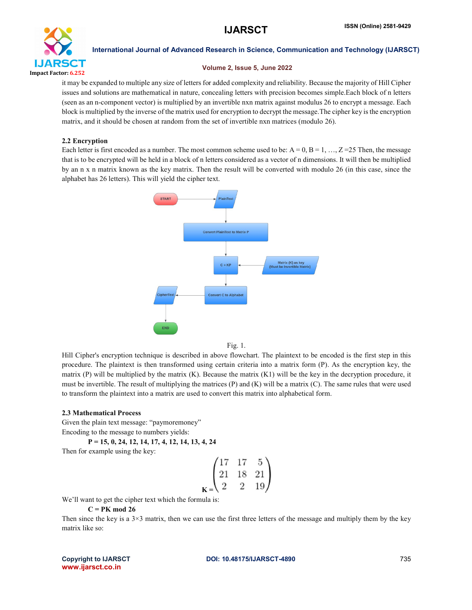

# Volume 2, Issue 5, June 2022

it may be expanded to multiple any size of letters for added complexity and reliability. Because the majority of Hill Cipher issues and solutions are mathematical in nature, concealing letters with precision becomes simple.Each block of n letters (seen as an n-component vector) is multiplied by an invertible nxn matrix against modulus 26 to encrypt a message. Each block is multiplied by the inverse of the matrix used for encryption to decrypt the message.The cipher key is the encryption matrix, and it should be chosen at random from the set of invertible nxn matrices (modulo 26).

# 2.2 Encryption

Each letter is first encoded as a number. The most common scheme used to be:  $A = 0$ ,  $B = 1, \ldots, Z = 25$  Then, the message that is to be encrypted will be held in a block of n letters considered as a vector of n dimensions. It will then be multiplied by an n x n matrix known as the key matrix. Then the result will be converted with modulo 26 (in this case, since the alphabet has 26 letters). This will yield the cipher text.



Fig. 1.

Hill Cipher's encryption technique is described in above flowchart. The plaintext to be encoded is the first step in this procedure. The plaintext is then transformed using certain criteria into a matrix form (P). As the encryption key, the matrix  $(P)$  will be multiplied by the matrix  $(K)$ . Because the matrix  $(K1)$  will be the key in the decryption procedure, it must be invertible. The result of multiplying the matrices  $(P)$  and  $(K)$  will be a matrix  $(C)$ . The same rules that were used to transform the plaintext into a matrix are used to convert this matrix into alphabetical form.

# 2.3 Mathematical Process

Given the plain text message: "paymoremoney" Encoding to the message to numbers yields:

P = 15, 0, 24, 12, 14, 17, 4, 12, 14, 13, 4, 24

Then for example using the key:

$$
\begin{pmatrix} 17 & 17 & 5 \ 21 & 18 & 21 \ 2 & 2 & 19 \end{pmatrix}
$$

 $\mathbf{I}$ 

We'll want to get the cipher text which the formula is:

# $C = PK \mod 26$

Then since the key is a  $3\times3$  matrix, then we can use the first three letters of the message and multiply them by the key matrix like so: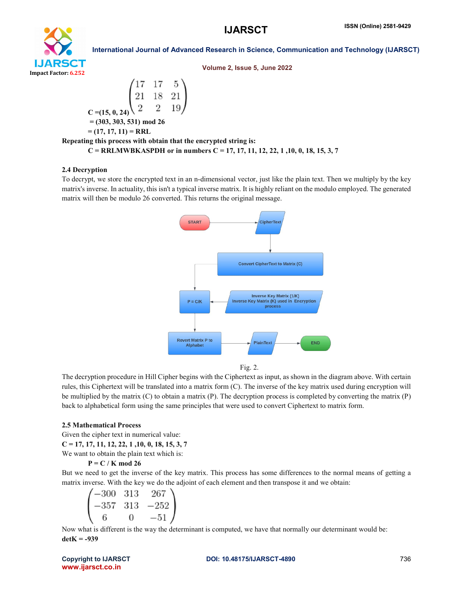

Volume 2, Issue 5, June 2022

$$
\begin{pmatrix} 17 & 17 & 5 \ 21 & 18 & 21 \ 2 & 2 & 19 \end{pmatrix}
$$
  
\nC = (15, 0, 24)  $\begin{pmatrix} 17 & 17 & 5 \ 2 & 2 & 19 \end{pmatrix}$   
\n= (303, 303, 531) mod 26  
\n= (17, 17, 11) = RRL  
\nRepeating this process with obtain that the encrypted string is:

 $C = RRLMWBKASPDH$  or in numbers  $C = 17, 17, 11, 12, 22, 1, 10, 0, 18, 15, 3, 7$ 

## 2.4 Decryption

To decrypt, we store the encrypted text in an n-dimensional vector, just like the plain text. Then we multiply by the key matrix's inverse. In actuality, this isn't a typical inverse matrix. It is highly reliant on the modulo employed. The generated matrix will then be modulo 26 converted. This returns the original message.



Fig. 2.

The decryption procedure in Hill Cipher begins with the Ciphertext as input, as shown in the diagram above. With certain rules, this Ciphertext will be translated into a matrix form (C). The inverse of the key matrix used during encryption will be multiplied by the matrix  $(C)$  to obtain a matrix  $(P)$ . The decryption process is completed by converting the matrix  $(P)$ back to alphabetical form using the same principles that were used to convert Ciphertext to matrix form.

### 2.5 Mathematical Process

Given the cipher text in numerical value:

 $C = 17, 17, 11, 12, 22, 1, 10, 0, 18, 15, 3, 7$ 

We want to obtain the plain text which is:

### $P = C / K \mod 26$

But we need to get the inverse of the key matrix. This process has some differences to the normal means of getting a matrix inverse. With the key we do the adjoint of each element and then transpose it and we obtain:

$$
\begin{pmatrix}\n-300 & 313 & 267 \\
-357 & 313 & -252 \\
6 & 0 & -51\n\end{pmatrix}
$$

Now what is different is the way the determinant is computed, we have that normally our determinant would be:  $detK = -939$ 

www.ijarsct.co.in

Copyright to IJARSCT DOI: 10.48175/IJARSCT-4890 736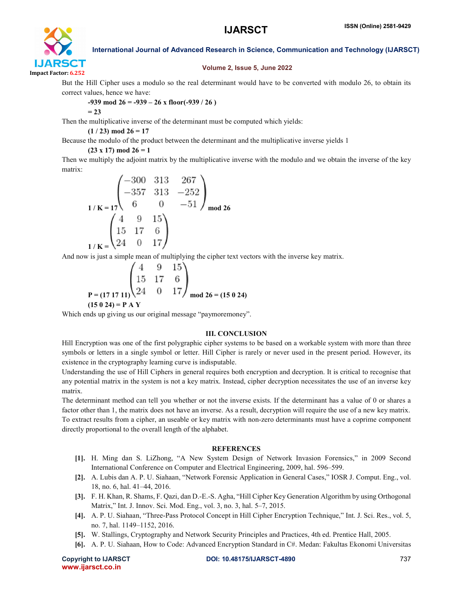

# Volume 2, Issue 5, June 2022

But the Hill Cipher uses a modulo so the real determinant would have to be converted with modulo 26, to obtain its correct values, hence we have:

# $-939 \text{ mod } 26 = -939 - 26 \text{ x floor}(-939 / 26)$

$$
=23
$$

Then the multiplicative inverse of the determinant must be computed which yields:

 $(1/23) \text{ mod } 26 = 17$ 

Because the modulo of the product between the determinant and the multiplicative inverse yields 1

# $(23 \times 17) \text{ mod } 26 = 1$

Then we multiply the adjoint matrix by the multiplicative inverse with the modulo and we obtain the inverse of the key matrix:

$$
1/K = 17\begin{pmatrix} -300 & 313 & 267 \\ -357 & 313 & -252 \\ 6 & 0 & -51 \end{pmatrix}_{\text{mod } 26}
$$
  

$$
1/K = \begin{pmatrix} 4 & 9 & 15 \\ 15 & 17 & 6 \\ 24 & 0 & 17 \end{pmatrix}
$$

And now is just a simple mean of multiplying the cipher text vectors with the inverse key matrix.

$$
P = (171711) \begin{pmatrix} 4 & 9 & 15 \\ 15 & 17 & 6 \\ 24 & 0 & 17 \end{pmatrix} \mod 26 = (15024)
$$
  
(15024) = P A Y

Which ends up giving us our original message "paymoremoney".

# III. CONCLUSION

Hill Encryption was one of the first polygraphic cipher systems to be based on a workable system with more than three symbols or letters in a single symbol or letter. Hill Cipher is rarely or never used in the present period. However, its existence in the cryptography learning curve is indisputable.

Understanding the use of Hill Ciphers in general requires both encryption and decryption. It is critical to recognise that any potential matrix in the system is not a key matrix. Instead, cipher decryption necessitates the use of an inverse key matrix.

The determinant method can tell you whether or not the inverse exists. If the determinant has a value of 0 or shares a factor other than 1, the matrix does not have an inverse. As a result, decryption will require the use of a new key matrix. To extract results from a cipher, an useable or key matrix with non-zero determinants must have a coprime component directly proportional to the overall length of the alphabet.

# **REFERENCES**

- [1]. H. Ming dan S. LiZhong, "A New System Design of Network Invasion Forensics," in 2009 Second International Conference on Computer and Electrical Engineering, 2009, hal. 596–599.
- [2]. A. Lubis dan A. P. U. Siahaan, "Network Forensic Application in General Cases," IOSR J. Comput. Eng., vol. 18, no. 6, hal. 41–44, 2016.
- [3]. F. H. Khan, R. Shams, F. Qazi, dan D.-E.-S. Agha, "Hill Cipher Key Generation Algorithm by using Orthogonal Matrix," Int. J. Innov. Sci. Mod. Eng., vol. 3, no. 3, hal. 5–7, 2015.
- [4]. A. P. U. Siahaan, "Three-Pass Protocol Concept in Hill Cipher Encryption Technique," Int. J. Sci. Res., vol. 5, no. 7, hal. 1149–1152, 2016.
- [5]. W. Stallings, Cryptography and Network Security Principles and Practices, 4th ed. Prentice Hall, 2005.
- [6]. A. P. U. Siahaan, How to Code: Advanced Encryption Standard in C#. Medan: Fakultas Ekonomi Universitas

```
www.ijarsct.co.in
```